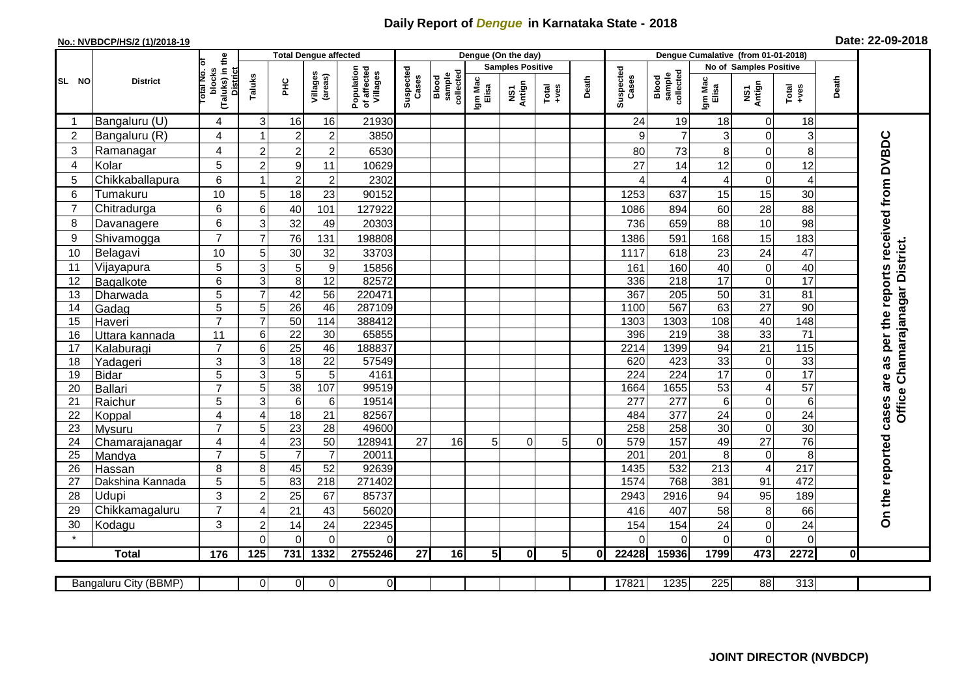## **Daily Report of** *Dengue* **in Karnataka State - 2018**

## **No.: NVBDCP/HS/2 (1)/2018-19 Date: 22-09-2018**

|                | <b>District</b>              |                                                              | <b>Total Dengue affected</b> |                       |                                    |                                       |                    |                              |                         | Dengue (On the day) |                  |          |                    |                              |                        |                                |                  |              |                                     |
|----------------|------------------------------|--------------------------------------------------------------|------------------------------|-----------------------|------------------------------------|---------------------------------------|--------------------|------------------------------|-------------------------|---------------------|------------------|----------|--------------------|------------------------------|------------------------|--------------------------------|------------------|--------------|-------------------------------------|
| SL NO          |                              |                                                              |                              |                       |                                    | Population<br>of affected<br>Villages | Suspected<br>Cases |                              | <b>Samples Positive</b> |                     |                  |          |                    |                              | No of Samples Positive |                                |                  |              |                                     |
|                |                              | (Taluks) in the<br>Total No. of<br>blocks<br><b>District</b> | Taluks                       | ЭHС                   | Villages<br>(areas)                |                                       |                    | sample<br>collected<br>Blood | Igm Mac<br>Elisa        | NS1<br>Antign       | Total<br>$+ve$ s | Death    | Suspected<br>Cases | collected<br>sample<br>Blood | Igm Mac<br>Elisa       | NS1<br>Antign                  | $Tota$<br>$+ves$ | Death        |                                     |
|                | Bangaluru (U)                | 4                                                            | 3                            | 16                    | 16                                 | 21930                                 |                    |                              |                         |                     |                  |          | 24                 | 19                           | 18                     | $\mathbf 0$                    | 18               |              |                                     |
| $\overline{2}$ | Bangaluru (R)                | 4                                                            |                              | $\overline{2}$        | $\overline{2}$                     | 3850                                  |                    |                              |                         |                     |                  |          | $\mathbf{Q}$       | $\overline{7}$               | 3                      | $\Omega$                       | 3                |              |                                     |
| 3              | Ramanagar                    | 4                                                            | $\overline{c}$               | $\overline{2}$        | $\overline{c}$                     | 6530                                  |                    |                              |                         |                     |                  |          | 80                 | 73                           | 8                      | 0                              | 8                |              | per the reports received from DVBDC |
| 4              | Kolar                        | 5                                                            | $\overline{2}$               | 9                     | 11                                 | 10629                                 |                    |                              |                         |                     |                  |          | 27                 | 14                           | 12                     | $\mathbf 0$                    | 12               |              |                                     |
| 5              | Chikkaballapura              | 6                                                            |                              | $\overline{2}$        | $\overline{c}$                     | 2302                                  |                    |                              |                         |                     |                  |          |                    | 4                            | 4                      | $\boldsymbol{0}$               | $\overline{4}$   |              |                                     |
| 6              | Tumakuru                     | 10                                                           | 5                            | 18                    | 23                                 | 90152                                 |                    |                              |                         |                     |                  |          | 1253               | 637                          | 15                     | 15                             | 30               |              |                                     |
| 7              | Chitradurga                  | 6                                                            | 6                            | 40                    | 101                                | 127922                                |                    |                              |                         |                     |                  |          | 1086               | 894                          | 60                     | 28                             | 88               |              |                                     |
| 8              | Davanagere                   | 6                                                            | 3                            | 32                    | 49                                 | 20303                                 |                    |                              |                         |                     |                  |          | 736                | 659                          | 88                     | 10                             | 98               |              |                                     |
| 9              | Shivamogga                   | $\overline{7}$                                               | $\overline{7}$               | 76                    | 131                                | 198808                                |                    |                              |                         |                     |                  |          | 1386               | 591                          | 168                    | 15                             | 183              |              |                                     |
| 10             | Belagavi                     | 10                                                           | 5                            | 30                    | 32                                 | 33703                                 |                    |                              |                         |                     |                  |          | 1117               | 618                          | 23                     | 24                             | 47               |              | Office Chamarajanagar District.     |
| 11             | Vijayapura                   | 5                                                            | 3                            | 5                     | $\boldsymbol{9}$                   | 15856                                 |                    |                              |                         |                     |                  |          | 161                | 160                          | 40                     | $\boldsymbol{0}$               | 40               |              |                                     |
| 12             | Bagalkote                    | 6                                                            | 3                            | 8                     | $\overline{12}$                    | 82572                                 |                    |                              |                         |                     |                  |          | 336                | 218                          | $\overline{17}$        | $\mathbf 0$                    | 17               |              |                                     |
| 13             | Dharwada                     | $\overline{5}$                                               | $\overline{7}$               | 42                    | 56                                 | 220471                                |                    |                              |                         |                     |                  |          | 367                | 205                          | 50                     | 31                             | 81               |              |                                     |
| 14             | Gadag                        | $\overline{5}$                                               | 5                            | $\overline{26}$       | 46                                 | 287109                                |                    |                              |                         |                     |                  |          | 1100               | 567                          | 63                     | $\overline{27}$                | 90               |              |                                     |
| 15             | Haveri                       | $\overline{7}$                                               | $\overline{7}$               | 50                    | 114                                | 388412                                |                    |                              |                         |                     |                  |          | 1303               | 1303                         | 108                    | 40                             | 148              |              |                                     |
| 16             | Uttara kannada               | $\overline{11}$                                              | 6                            | $\overline{22}$       | $\overline{30}$                    | 65855                                 |                    |                              |                         |                     |                  |          | 396                | $\overline{219}$             | $\overline{38}$        | 33                             | $\overline{71}$  |              |                                     |
| 17             | Kalaburagi                   | $\overline{7}$                                               | 6                            | $\overline{25}$       | 46                                 | 188837                                |                    |                              |                         |                     |                  |          | 2214               | 1399                         | 94                     | 21                             | 115              |              |                                     |
| 18             | Yadageri                     | 3                                                            | 3                            | 18                    | 22                                 | 57549                                 |                    |                              |                         |                     |                  |          | 620                | 423                          | 33                     | $\pmb{0}$                      | 33               |              | $\frac{1}{26}$                      |
| 19             | Bidar                        | $\overline{5}$                                               | 3                            | 5                     | 5                                  | 4161                                  |                    |                              |                         |                     |                  |          | 224                | $\overline{224}$             | 17                     | $\mathbf 0$                    | $\overline{17}$  |              | are                                 |
| 20             | Ballari                      | $\overline{7}$                                               | 5                            | 38                    | 107                                | 99519                                 |                    |                              |                         |                     |                  |          | 1664               | 1655                         | 53                     | $\overline{\mathbf{4}}$        | 57               |              |                                     |
| 21             | Raichur                      | $\overline{5}$                                               | $\overline{3}$               | $\overline{6}$        | $\,6$                              | 19514                                 |                    |                              |                         |                     |                  |          | $\overline{277}$   | 277                          | $\overline{6}$         | $\mathbf 0$                    | $\overline{6}$   |              |                                     |
| 22             | Koppal                       | 4                                                            | $\overline{4}$               | 18                    | 21                                 | 82567                                 |                    |                              |                         |                     |                  |          | 484                | 377                          | 24                     | $\boldsymbol{0}$               | 24               |              | cases                               |
| 23<br>24       | Mysuru                       | $\overline{7}$<br>4                                          | 5<br>$\overline{4}$          | $\overline{23}$<br>23 | $\overline{28}$<br>$\overline{50}$ | 49600<br>128941                       | $\overline{27}$    | 16                           | 5                       | $\Omega$            | 5                | $\Omega$ | 258<br>579         | 258<br>157                   | $\overline{30}$<br>49  | $\mathbf 0$<br>$\overline{27}$ | 30<br>76         |              |                                     |
| 25             | Chamarajanagar<br>Mandya     | $\overline{7}$                                               | 5                            | $\overline{7}$        | $\overline{7}$                     | 20011                                 |                    |                              |                         |                     |                  |          | $\overline{201}$   | 201                          | 8                      | $\mathbf 0$                    | $\overline{8}$   |              |                                     |
| 26             | Hassan                       | 8                                                            | 8                            | 45                    | 52                                 | 92639                                 |                    |                              |                         |                     |                  |          | 1435               | 532                          | 213                    | 4                              | $\overline{217}$ |              |                                     |
| 27             | Dakshina Kannada             | 5                                                            | 5                            | 83                    | $\overline{218}$                   | 271402                                |                    |                              |                         |                     |                  |          | 1574               | 768                          | 381                    | 91                             | 472              |              |                                     |
| 28             | Udupi                        | 3                                                            | $\overline{2}$               | 25                    | 67                                 | 85737                                 |                    |                              |                         |                     |                  |          | 2943               | 2916                         | 94                     | 95                             | 189              |              |                                     |
| 29             | Chikkamagaluru               | $\overline{7}$                                               | ⊿                            | 21                    | 43                                 | 56020                                 |                    |                              |                         |                     |                  |          | 416                | 407                          | 58                     | 8                              | 66               |              |                                     |
| 30             | Kodagu                       | 3                                                            | $\overline{c}$               | 14                    | 24                                 | 22345                                 |                    |                              |                         |                     |                  |          | 154                | 154                          | 24                     | $\mathbf 0$                    | 24               |              | On the reported                     |
|                |                              |                                                              | $\Omega$                     | $\Omega$              | $\Omega$                           | $\Omega$                              |                    |                              |                         |                     |                  |          |                    | $\Omega$                     | 0                      | 0                              | $\mathbf 0$      |              |                                     |
|                | <b>Total</b>                 | 176                                                          | 125                          | 731                   | 1332                               | 2755246                               | 27                 | 16                           | 5 <sub>l</sub>          | $\mathbf{0}$        | 5 <sub>l</sub>   | 0l       | 22428              | 15936                        | 1799                   | 473                            | 2272             | $\mathbf{0}$ |                                     |
|                |                              |                                                              |                              |                       |                                    |                                       |                    |                              |                         |                     |                  |          |                    |                              |                        |                                |                  |              |                                     |
|                | <b>Bangaluru City (BBMP)</b> |                                                              | $\overline{0}$               | $\overline{0}$        | $\overline{0}$                     | $\overline{0}$                        |                    |                              |                         |                     |                  |          | 17821              | 1235                         | 225                    | 88                             | 313              |              |                                     |